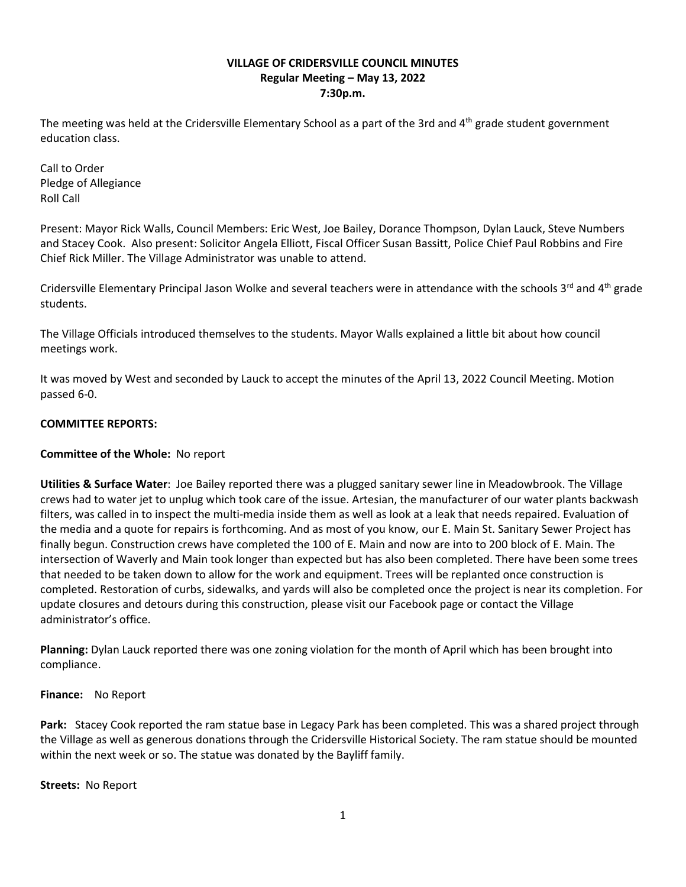## **VILLAGE OF CRIDERSVILLE COUNCIL MINUTES Regular Meeting – May 13, 2022 7:30p.m.**

The meeting was held at the Cridersville Elementary School as a part of the 3rd and  $4<sup>th</sup>$  grade student government education class.

Call to Order Pledge of Allegiance Roll Call

Present: Mayor Rick Walls, Council Members: Eric West, Joe Bailey, Dorance Thompson, Dylan Lauck, Steve Numbers and Stacey Cook. Also present: Solicitor Angela Elliott, Fiscal Officer Susan Bassitt, Police Chief Paul Robbins and Fire Chief Rick Miller. The Village Administrator was unable to attend.

Cridersville Elementary Principal Jason Wolke and several teachers were in attendance with the schools  $3^{rd}$  and  $4^{th}$  grade students.

The Village Officials introduced themselves to the students. Mayor Walls explained a little bit about how council meetings work.

It was moved by West and seconded by Lauck to accept the minutes of the April 13, 2022 Council Meeting. Motion passed 6-0.

# **COMMITTEE REPORTS:**

## **Committee of the Whole:** No report

**Utilities & Surface Water**: Joe Bailey reported there was a plugged sanitary sewer line in Meadowbrook. The Village crews had to water jet to unplug which took care of the issue. Artesian, the manufacturer of our water plants backwash filters, was called in to inspect the multi-media inside them as well as look at a leak that needs repaired. Evaluation of the media and a quote for repairs is forthcoming. And as most of you know, our E. Main St. Sanitary Sewer Project has finally begun. Construction crews have completed the 100 of E. Main and now are into to 200 block of E. Main. The intersection of Waverly and Main took longer than expected but has also been completed. There have been some trees that needed to be taken down to allow for the work and equipment. Trees will be replanted once construction is completed. Restoration of curbs, sidewalks, and yards will also be completed once the project is near its completion. For update closures and detours during this construction, please visit our Facebook page or contact the Village administrator's office.

**Planning:** Dylan Lauck reported there was one zoning violation for the month of April which has been brought into compliance.

## **Finance:** No Report

**Park:** Stacey Cook reported the ram statue base in Legacy Park has been completed. This was a shared project through the Village as well as generous donations through the Cridersville Historical Society. The ram statue should be mounted within the next week or so. The statue was donated by the Bayliff family.

## **Streets:** No Report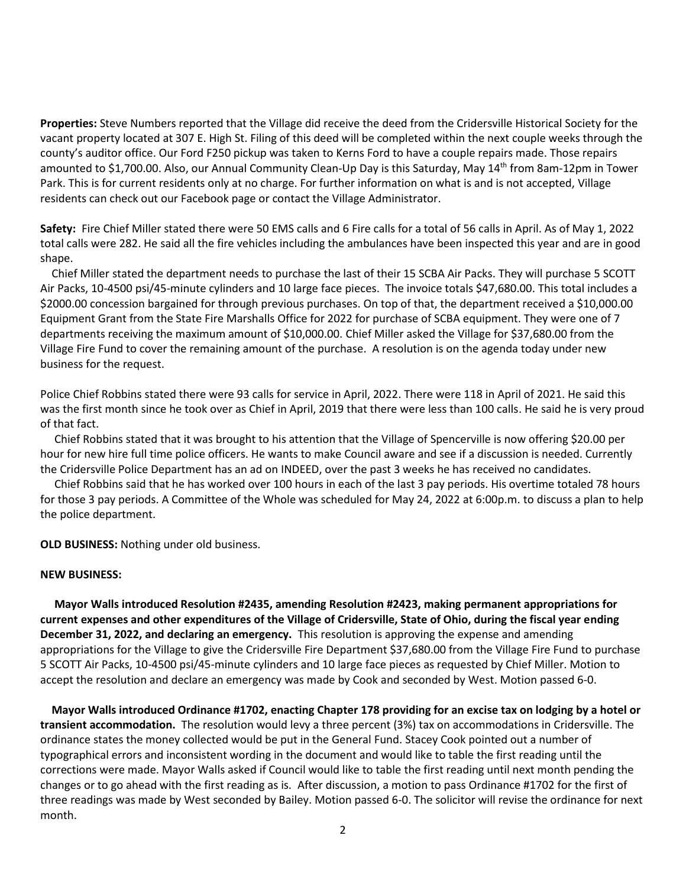**Properties:** Steve Numbers reported that the Village did receive the deed from the Cridersville Historical Society for the vacant property located at 307 E. High St. Filing of this deed will be completed within the next couple weeks through the county's auditor office. Our Ford F250 pickup was taken to Kerns Ford to have a couple repairs made. Those repairs amounted to \$1,700.00. Also, our Annual Community Clean-Up Day is this Saturday, May 14th from 8am-12pm in Tower Park. This is for current residents only at no charge. For further information on what is and is not accepted, Village residents can check out our Facebook page or contact the Village Administrator.

**Safety:** Fire Chief Miller stated there were 50 EMS calls and 6 Fire calls for a total of 56 calls in April. As of May 1, 2022 total calls were 282. He said all the fire vehicles including the ambulances have been inspected this year and are in good shape.

 Chief Miller stated the department needs to purchase the last of their 15 SCBA Air Packs. They will purchase 5 SCOTT Air Packs, 10-4500 psi/45-minute cylinders and 10 large face pieces. The invoice totals \$47,680.00. This total includes a \$2000.00 concession bargained for through previous purchases. On top of that, the department received a \$10,000.00 Equipment Grant from the State Fire Marshalls Office for 2022 for purchase of SCBA equipment. They were one of 7 departments receiving the maximum amount of \$10,000.00. Chief Miller asked the Village for \$37,680.00 from the Village Fire Fund to cover the remaining amount of the purchase. A resolution is on the agenda today under new business for the request.

Police Chief Robbins stated there were 93 calls for service in April, 2022. There were 118 in April of 2021. He said this was the first month since he took over as Chief in April, 2019 that there were less than 100 calls. He said he is very proud of that fact.

 Chief Robbins stated that it was brought to his attention that the Village of Spencerville is now offering \$20.00 per hour for new hire full time police officers. He wants to make Council aware and see if a discussion is needed. Currently the Cridersville Police Department has an ad on INDEED, over the past 3 weeks he has received no candidates.

 Chief Robbins said that he has worked over 100 hours in each of the last 3 pay periods. His overtime totaled 78 hours for those 3 pay periods. A Committee of the Whole was scheduled for May 24, 2022 at 6:00p.m. to discuss a plan to help the police department.

**OLD BUSINESS:** Nothing under old business.

#### **NEW BUSINESS:**

 **Mayor Walls introduced Resolution #2435, amending Resolution #2423, making permanent appropriations for current expenses and other expenditures of the Village of Cridersville, State of Ohio, during the fiscal year ending December 31, 2022, and declaring an emergency.** This resolution is approving the expense and amending appropriations for the Village to give the Cridersville Fire Department \$37,680.00 from the Village Fire Fund to purchase 5 SCOTT Air Packs, 10-4500 psi/45-minute cylinders and 10 large face pieces as requested by Chief Miller. Motion to accept the resolution and declare an emergency was made by Cook and seconded by West. Motion passed 6-0.

 **Mayor Walls introduced Ordinance #1702, enacting Chapter 178 providing for an excise tax on lodging by a hotel or transient accommodation.** The resolution would levy a three percent (3%) tax on accommodations in Cridersville. The ordinance states the money collected would be put in the General Fund. Stacey Cook pointed out a number of typographical errors and inconsistent wording in the document and would like to table the first reading until the corrections were made. Mayor Walls asked if Council would like to table the first reading until next month pending the changes or to go ahead with the first reading as is. After discussion, a motion to pass Ordinance #1702 for the first of three readings was made by West seconded by Bailey. Motion passed 6-0. The solicitor will revise the ordinance for next month.